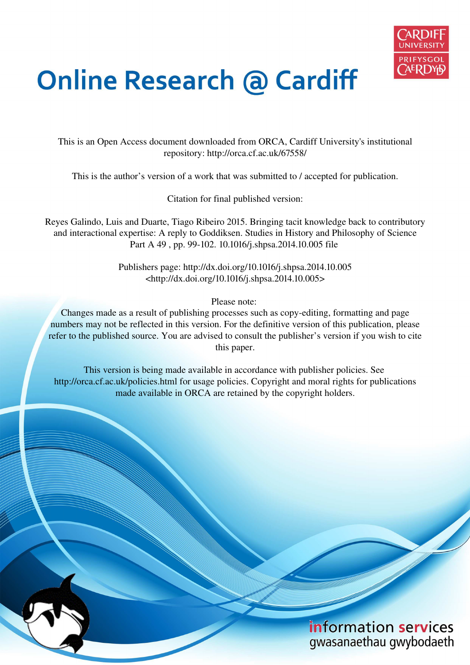

# **Online Research @ Cardiff**

This is an Open Access document downloaded from ORCA, Cardiff University's institutional repository: http://orca.cf.ac.uk/67558/

This is the author's version of a work that was submitted to / accepted for publication.

Citation for final published version:

Reyes Galindo, Luis and Duarte, Tiago Ribeiro 2015. Bringing tacit knowledge back to contributory and interactional expertise: A reply to Goddiksen. Studies in History and Philosophy of Science Part A 49 , pp. 99-102. 10.1016/j.shpsa.2014.10.005 file

> Publishers page: http://dx.doi.org/10.1016/j.shpsa.2014.10.005 <http://dx.doi.org/10.1016/j.shpsa.2014.10.005>

> > Please note:

Changes made as a result of publishing processes such as copy-editing, formatting and page numbers may not be reflected in this version. For the definitive version of this publication, please refer to the published source. You are advised to consult the publisher's version if you wish to cite this paper.

This version is being made available in accordance with publisher policies. See http://orca.cf.ac.uk/policies.html for usage policies. Copyright and moral rights for publications made available in ORCA are retained by the copyright holders.

### information services gwasanaethau gwybodaeth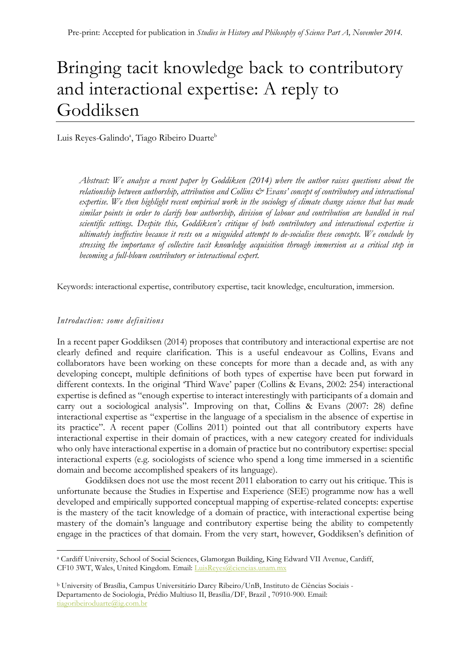## Bringing tacit knowledge back to contributory and interactional expertise: A reply to Goddiksen

Luis Reyes-Galindo<sup>a</sup>, Tiago Ribeiro Duarte<sup>b</sup>

*Abstract: We analyse a recent paper by Goddiksen (2014) where the author raises questions about the relationship between authorship, attribution and Collins*  $\mathcal{Q}$  *Evans' concept of contributory and interactional expertise. We then highlight recent empirical work in the sociology of climate change science that has made similar points in order to clarify how authorship, division of labour and contribution are handled in real scientific settings. Despite this, Goddiksen's critique of both contributory and interactional expertise is ultimately ineffective because it rests on a misguided attempt to de-socialise these concepts. We conclude by stressing the importance of collective tacit knowledge acquisition through immersion as a critical step in becoming a full-blown contributory or interactional expert.* 

Keywords: interactional expertise, contributory expertise, tacit knowledge, enculturation, immersion.

#### *Introduction: some definitions*

1

In a recent paper Goddiksen (2014) proposes that contributory and interactional expertise are not clearly defined and require clarification. This is a useful endeavour as Collins, Evans and collaborators have been working on these concepts for more than a decade and, as with any developing concept, multiple definitions of both types of expertise have been put forward in different contexts. In the original 'Third Wave' paper (Collins & Evans, 2002: 254) interactional expertise is defined as "enough expertise to interact interestingly with participants of a domain and carry out a sociological analysis". Improving on that, Collins & Evans (2007: 28) define interactional expertise as "expertise in the language of a specialism in the absence of expertise in its practice". A recent paper (Collins 2011) pointed out that all contributory experts have interactional expertise in their domain of practices, with a new category created for individuals who only have interactional expertise in a domain of practice but no contributory expertise: special interactional experts (e.g. sociologists of science who spend a long time immersed in a scientific domain and become accomplished speakers of its language).

Goddiksen does not use the most recent 2011 elaboration to carry out his critique. This is unfortunate because the Studies in Expertise and Experience (SEE) programme now has a well developed and empirically supported conceptual mapping of expertise-related concepts: expertise is the mastery of the tacit knowledge of a domain of practice, with interactional expertise being mastery of the domain's language and contributory expertise being the ability to competently engage in the practices of that domain. From the very start, however, Goddiksen's definition of

a Cardiff University, School of Social Sciences, Glamorgan Building, King Edward VII Avenue, Cardiff, CF10 3WT, Wales, United Kingdom. Email: LuisReyes@ciencias.unam.mx

b University of Brasília, Campus Universitário Darcy Ribeiro/UnB, Instituto de Ciências Sociais - Departamento de Sociologia, Prédio Multiuso II, Brasília/DF, Brazil , 70910-900. Email: tiagoribeiroduarte@ig.com.br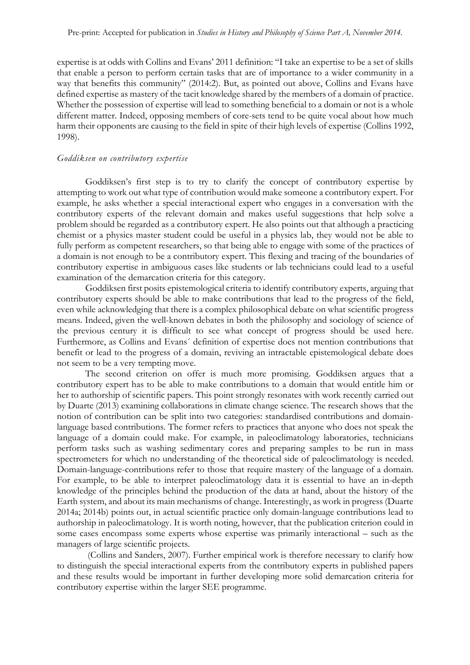expertise is at odds with Collins and Evans' 2011 definition: "I take an expertise to be a set of skills that enable a person to perform certain tasks that are of importance to a wider community in a way that benefits this community" (2014:2). But, as pointed out above, Collins and Evans have defined expertise as mastery of the tacit knowledge shared by the members of a domain of practice. Whether the possession of expertise will lead to something beneficial to a domain or not is a whole different matter. Indeed, opposing members of core-sets tend to be quite vocal about how much harm their opponents are causing to the field in spite of their high levels of expertise (Collins 1992, 1998).

#### *Goddiksen on contributory expertise*

Goddiksen's first step is to try to clarify the concept of contributory expertise by attempting to work out what type of contribution would make someone a contributory expert. For example, he asks whether a special interactional expert who engages in a conversation with the contributory experts of the relevant domain and makes useful suggestions that help solve a problem should be regarded as a contributory expert. He also points out that although a practicing chemist or a physics master student could be useful in a physics lab, they would not be able to fully perform as competent researchers, so that being able to engage with some of the practices of a domain is not enough to be a contributory expert. This flexing and tracing of the boundaries of contributory expertise in ambiguous cases like students or lab technicians could lead to a useful examination of the demarcation criteria for this category.

Goddiksen first posits epistemological criteria to identify contributory experts, arguing that contributory experts should be able to make contributions that lead to the progress of the field, even while acknowledging that there is a complex philosophical debate on what scientific progress means. Indeed, given the well-known debates in both the philosophy and sociology of science of the previous century it is difficult to see what concept of progress should be used here. Furthermore, as Collins and Evans´ definition of expertise does not mention contributions that benefit or lead to the progress of a domain, reviving an intractable epistemological debate does not seem to be a very tempting move.

The second criterion on offer is much more promising. Goddiksen argues that a contributory expert has to be able to make contributions to a domain that would entitle him or her to authorship of scientific papers. This point strongly resonates with work recently carried out by Duarte (2013) examining collaborations in climate change science. The research shows that the notion of contribution can be split into two categories: standardised contributions and domainlanguage based contributions. The former refers to practices that anyone who does not speak the language of a domain could make. For example, in paleoclimatology laboratories, technicians perform tasks such as washing sedimentary cores and preparing samples to be run in mass spectrometers for which no understanding of the theoretical side of paleoclimatology is needed. Domain-language-contributions refer to those that require mastery of the language of a domain. For example, to be able to interpret paleoclimatology data it is essential to have an in-depth knowledge of the principles behind the production of the data at hand, about the history of the Earth system, and about its main mechanisms of change. Interestingly, as work in progress (Duarte 2014a; 2014b) points out, in actual scientific practice only domain-language contributions lead to authorship in paleoclimatology. It is worth noting, however, that the publication criterion could in some cases encompass some experts whose expertise was primarily interactional – such as the managers of large scientific projects.

 (Collins and Sanders, 2007). Further empirical work is therefore necessary to clarify how to distinguish the special interactional experts from the contributory experts in published papers and these results would be important in further developing more solid demarcation criteria for contributory expertise within the larger SEE programme.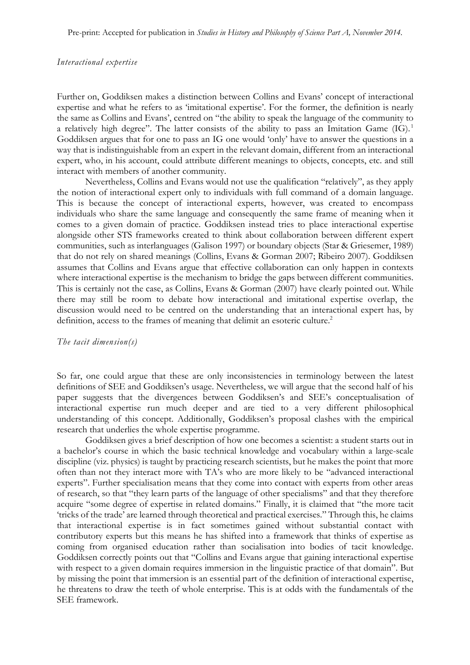#### *Interactional expertise*

Further on, Goddiksen makes a distinction between Collins and Evans' concept of interactional expertise and what he refers to as 'imitational expertise'. For the former, the definition is nearly the same as Collins and Evans', centred on "the ability to speak the language of the community to a relatively high degree". The latter consists of the ability to pass an Imitation Game (IG).<sup>1</sup> Goddiksen argues that for one to pass an IG one would 'only' have to answer the questions in a way that is indistinguishable from an expert in the relevant domain, different from an interactional expert, who, in his account, could attribute different meanings to objects, concepts, etc. and still interact with members of another community.

Nevertheless, Collins and Evans would not use the qualification "relatively", as they apply the notion of interactional expert only to individuals with full command of a domain language. This is because the concept of interactional experts, however, was created to encompass individuals who share the same language and consequently the same frame of meaning when it comes to a given domain of practice. Goddiksen instead tries to place interactional expertise alongside other STS frameworks created to think about collaboration between different expert communities, such as interlanguages (Galison 1997) or boundary objects (Star & Griesemer, 1989) that do not rely on shared meanings (Collins, Evans & Gorman 2007; Ribeiro 2007). Goddiksen assumes that Collins and Evans argue that effective collaboration can only happen in contexts where interactional expertise is the mechanism to bridge the gaps between different communities. This is certainly not the case, as Collins, Evans & Gorman (2007) have clearly pointed out. While there may still be room to debate how interactional and imitational expertise overlap, the discussion would need to be centred on the understanding that an interactional expert has, by definition, access to the frames of meaning that delimit an esoteric culture.<sup>2</sup>

*The tacit dimension(s)* 

So far, one could argue that these are only inconsistencies in terminology between the latest definitions of SEE and Goddiksen's usage. Nevertheless, we will argue that the second half of his paper suggests that the divergences between Goddiksen's and SEE's conceptualisation of interactional expertise run much deeper and are tied to a very different philosophical understanding of this concept. Additionally, Goddiksen's proposal clashes with the empirical research that underlies the whole expertise programme.

Goddiksen gives a brief description of how one becomes a scientist: a student starts out in a bachelor's course in which the basic technical knowledge and vocabulary within a large-scale discipline (viz. physics) is taught by practicing research scientists, but he makes the point that more often than not they interact more with TA's who are more likely to be "advanced interactional experts". Further specialisation means that they come into contact with experts from other areas of research, so that "they learn parts of the language of other specialisms" and that they therefore acquire "some degree of expertise in related domains." Finally, it is claimed that "the more tacit 'tricks of the trade' are learned through theoretical and practical exercises." Through this, he claims that interactional expertise is in fact sometimes gained without substantial contact with contributory experts but this means he has shifted into a framework that thinks of expertise as coming from organised education rather than socialisation into bodies of tacit knowledge. Goddiksen correctly points out that "Collins and Evans argue that gaining interactional expertise with respect to a given domain requires immersion in the linguistic practice of that domain". But by missing the point that immersion is an essential part of the definition of interactional expertise, he threatens to draw the teeth of whole enterprise. This is at odds with the fundamentals of the SEE framework.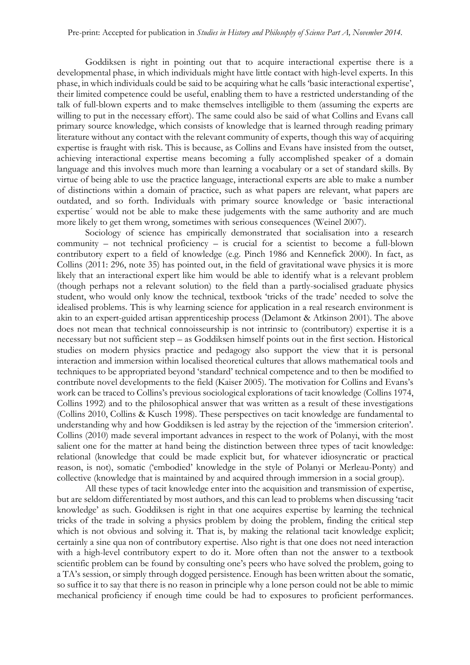Goddiksen is right in pointing out that to acquire interactional expertise there is a developmental phase, in which individuals might have little contact with high-level experts. In this phase, in which individuals could be said to be acquiring what he calls 'basic interactional expertise', their limited competence could be useful, enabling them to have a restricted understanding of the talk of full-blown experts and to make themselves intelligible to them (assuming the experts are willing to put in the necessary effort). The same could also be said of what Collins and Evans call primary source knowledge, which consists of knowledge that is learned through reading primary literature without any contact with the relevant community of experts, though this way of acquiring expertise is fraught with risk. This is because, as Collins and Evans have insisted from the outset, achieving interactional expertise means becoming a fully accomplished speaker of a domain language and this involves much more than learning a vocabulary or a set of standard skills. By virtue of being able to use the practice language, interactional experts are able to make a number of distinctions within a domain of practice, such as what papers are relevant, what papers are outdated, and so forth. Individuals with primary source knowledge or ´basic interactional expertise´ would not be able to make these judgements with the same authority and are much more likely to get them wrong, sometimes with serious consequences (Weinel 2007).

Sociology of science has empirically demonstrated that socialisation into a research community – not technical proficiency – is crucial for a scientist to become a full-blown contributory expert to a field of knowledge (e.g. Pinch 1986 and Kennefick 2000). In fact, as Collins (2011: 296, note 35) has pointed out, in the field of gravitational wave physics it is more likely that an interactional expert like him would be able to identify what is a relevant problem (though perhaps not a relevant solution) to the field than a partly-socialised graduate physics student, who would only know the technical, textbook 'tricks of the trade' needed to solve the idealised problems. This is why learning science for application in a real research environment is akin to an expert-guided artisan apprenticeship process (Delamont & Atkinson 2001). The above does not mean that technical connoisseurship is not intrinsic to (contributory) expertise it is a necessary but not sufficient step – as Goddiksen himself points out in the first section. Historical studies on modern physics practice and pedagogy also support the view that it is personal interaction and immersion within localised theoretical cultures that allows mathematical tools and techniques to be appropriated beyond 'standard' technical competence and to then be modified to contribute novel developments to the field (Kaiser 2005). The motivation for Collins and Evans's work can be traced to Collins's previous sociological explorations of tacit knowledge (Collins 1974, Collins 1992) and to the philosophical answer that was written as a result of these investigations (Collins 2010, Collins & Kusch 1998). These perspectives on tacit knowledge are fundamental to understanding why and how Goddiksen is led astray by the rejection of the 'immersion criterion'. Collins (2010) made several important advances in respect to the work of Polanyi, with the most salient one for the matter at hand being the distinction between three types of tacit knowledge: relational (knowledge that could be made explicit but, for whatever idiosyncratic or practical reason, is not), somatic ('embodied' knowledge in the style of Polanyi or Merleau-Ponty) and collective (knowledge that is maintained by and acquired through immersion in a social group).

All these types of tacit knowledge enter into the acquisition and transmission of expertise, but are seldom differentiated by most authors, and this can lead to problems when discussing 'tacit knowledge' as such. Goddiksen is right in that one acquires expertise by learning the technical tricks of the trade in solving a physics problem by doing the problem, finding the critical step which is not obvious and solving it. That is, by making the relational tacit knowledge explicit; certainly a sine qua non of contributory expertise. Also right is that one does not need interaction with a high-level contributory expert to do it. More often than not the answer to a textbook scientific problem can be found by consulting one's peers who have solved the problem, going to a TA's session, or simply through dogged persistence. Enough has been written about the somatic, so suffice it to say that there is no reason in principle why a lone person could not be able to mimic mechanical proficiency if enough time could be had to exposures to proficient performances.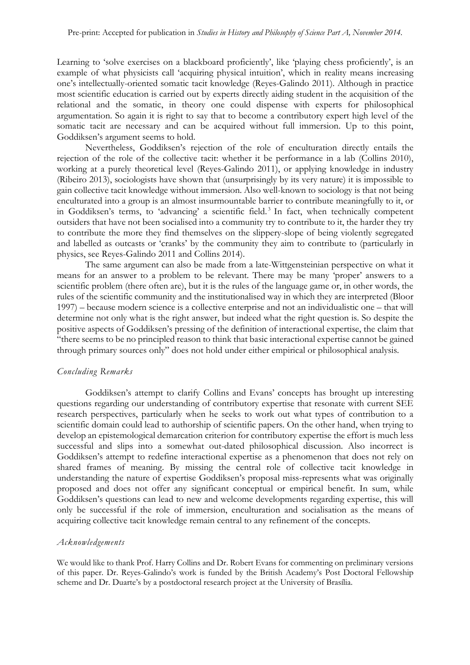Learning to 'solve exercises on a blackboard proficiently', like 'playing chess proficiently', is an example of what physicists call 'acquiring physical intuition', which in reality means increasing one's intellectually-oriented somatic tacit knowledge (Reyes-Galindo 2011). Although in practice most scientific education is carried out by experts directly aiding student in the acquisition of the relational and the somatic, in theory one could dispense with experts for philosophical argumentation. So again it is right to say that to become a contributory expert high level of the somatic tacit are necessary and can be acquired without full immersion. Up to this point, Goddiksen's argument seems to hold.

Nevertheless, Goddiksen's rejection of the role of enculturation directly entails the rejection of the role of the collective tacit: whether it be performance in a lab (Collins 2010), working at a purely theoretical level (Reyes-Galindo 2011), or applying knowledge in industry (Ribeiro 2013), sociologists have shown that (unsurprisingly by its very nature) it is impossible to gain collective tacit knowledge without immersion. Also well-known to sociology is that not being enculturated into a group is an almost insurmountable barrier to contribute meaningfully to it, or in Goddiksen's terms, to 'advancing' a scientific field.<sup>3</sup> In fact, when technically competent outsiders that have not been socialised into a community try to contribute to it, the harder they try to contribute the more they find themselves on the slippery-slope of being violently segregated and labelled as outcasts or 'cranks' by the community they aim to contribute to (particularly in physics, see Reyes-Galindo 2011 and Collins 2014).

The same argument can also be made from a late-Wittgensteinian perspective on what it means for an answer to a problem to be relevant. There may be many 'proper' answers to a scientific problem (there often are), but it is the rules of the language game or, in other words, the rules of the scientific community and the institutionalised way in which they are interpreted (Bloor 1997) – because modern science is a collective enterprise and not an individualistic one – that will determine not only what is the right answer, but indeed what the right question is. So despite the positive aspects of Goddiksen's pressing of the definition of interactional expertise, the claim that "there seems to be no principled reason to think that basic interactional expertise cannot be gained through primary sources only" does not hold under either empirical or philosophical analysis.

#### *Concluding Remarks*

Goddiksen's attempt to clarify Collins and Evans' concepts has brought up interesting questions regarding our understanding of contributory expertise that resonate with current SEE research perspectives, particularly when he seeks to work out what types of contribution to a scientific domain could lead to authorship of scientific papers. On the other hand, when trying to develop an epistemological demarcation criterion for contributory expertise the effort is much less successful and slips into a somewhat out-dated philosophical discussion. Also incorrect is Goddiksen's attempt to redefine interactional expertise as a phenomenon that does not rely on shared frames of meaning. By missing the central role of collective tacit knowledge in understanding the nature of expertise Goddiksen's proposal miss-represents what was originally proposed and does not offer any significant conceptual or empirical benefit. In sum, while Goddiksen's questions can lead to new and welcome developments regarding expertise, this will only be successful if the role of immersion, enculturation and socialisation as the means of acquiring collective tacit knowledge remain central to any refinement of the concepts.

#### *Acknowledgements*

We would like to thank Prof. Harry Collins and Dr. Robert Evans for commenting on preliminary versions of this paper. Dr. Reyes-Galindo's work is funded by the British Academy's Post Doctoral Fellowship scheme and Dr. Duarte's by a postdoctoral research project at the University of Brasília.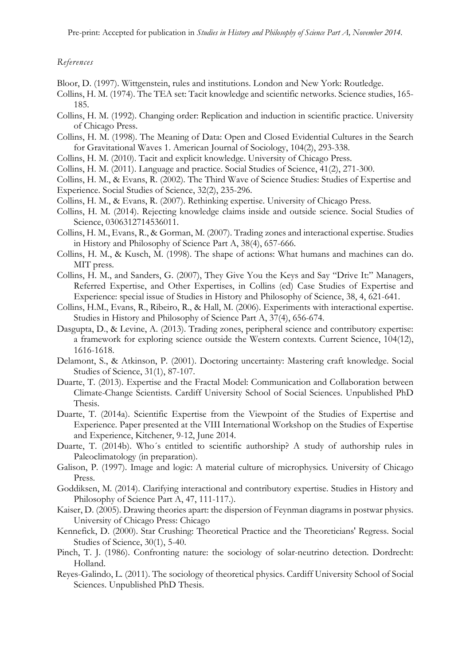Pre-print: Accepted for publication in *Studies in History and Philosophy of Science Part A, November 2014*.

#### *References*

- Bloor, D. (1997). Wittgenstein, rules and institutions. London and New York: Routledge.
- Collins, H. M. (1974). The TEA set: Tacit knowledge and scientific networks. Science studies, 165- 185.
- Collins, H. M. (1992). Changing order: Replication and induction in scientific practice. University of Chicago Press.
- Collins, H. M. (1998). The Meaning of Data: Open and Closed Evidential Cultures in the Search for Gravitational Waves 1. American Journal of Sociology, 104(2), 293-338.
- Collins, H. M. (2010). Tacit and explicit knowledge. University of Chicago Press.
- Collins, H. M. (2011). Language and practice. Social Studies of Science, 41(2), 271-300.

Collins, H. M., & Evans, R. (2002). The Third Wave of Science Studies: Studies of Expertise and Experience. Social Studies of Science, 32(2), 235-296.

- Collins, H. M., & Evans, R. (2007). Rethinking expertise. University of Chicago Press.
- Collins, H. M. (2014). Rejecting knowledge claims inside and outside science. Social Studies of Science, 0306312714536011.
- Collins, H. M., Evans, R., & Gorman, M. (2007). Trading zones and interactional expertise. Studies in History and Philosophy of Science Part A, 38(4), 657-666.
- Collins, H. M., & Kusch, M. (1998). The shape of actions: What humans and machines can do. MIT press.
- Collins, H. M., and Sanders, G. (2007), They Give You the Keys and Say "Drive It:" Managers, Referred Expertise, and Other Expertises, in Collins (ed) Case Studies of Expertise and Experience: special issue of Studies in History and Philosophy of Science, 38, 4, 621-641.
- Collins, H.M., Evans, R., Ribeiro, R., & Hall, M. (2006). Experiments with interactional expertise. Studies in History and Philosophy of Science Part A, 37(4), 656-674.
- Dasgupta, D., & Levine, A. (2013). Trading zones, peripheral science and contributory expertise: a framework for exploring science outside the Western contexts. Current Science, 104(12), 1616-1618.
- Delamont, S., & Atkinson, P. (2001). Doctoring uncertainty: Mastering craft knowledge. Social Studies of Science, 31(1), 87-107.
- Duarte, T. (2013). Expertise and the Fractal Model: Communication and Collaboration between Climate-Change Scientists. Cardiff University School of Social Sciences. Unpublished PhD Thesis.
- Duarte, T. (2014a). Scientific Expertise from the Viewpoint of the Studies of Expertise and Experience. Paper presented at the VIII International Workshop on the Studies of Expertise and Experience, Kitchener, 9-12, June 2014.
- Duarte, T. (2014b). Who´s entitled to scientific authorship? A study of authorship rules in Paleoclimatology (in preparation).
- Galison, P. (1997). Image and logic: A material culture of microphysics. University of Chicago Press.
- Goddiksen, M. (2014). Clarifying interactional and contributory expertise. Studies in History and Philosophy of Science Part A, 47, 111-117.).
- Kaiser, D. (2005). Drawing theories apart: the dispersion of Feynman diagrams in postwar physics. University of Chicago Press: Chicago
- Kennefick, D. (2000). Star Crushing: Theoretical Practice and the Theoreticians' Regress. Social Studies of Science, 30(1), 5-40.
- Pinch, T. J. (1986). Confronting nature: the sociology of solar-neutrino detection. Dordrecht: Holland.
- Reyes-Galindo, L. (2011). The sociology of theoretical physics. Cardiff University School of Social Sciences. Unpublished PhD Thesis.